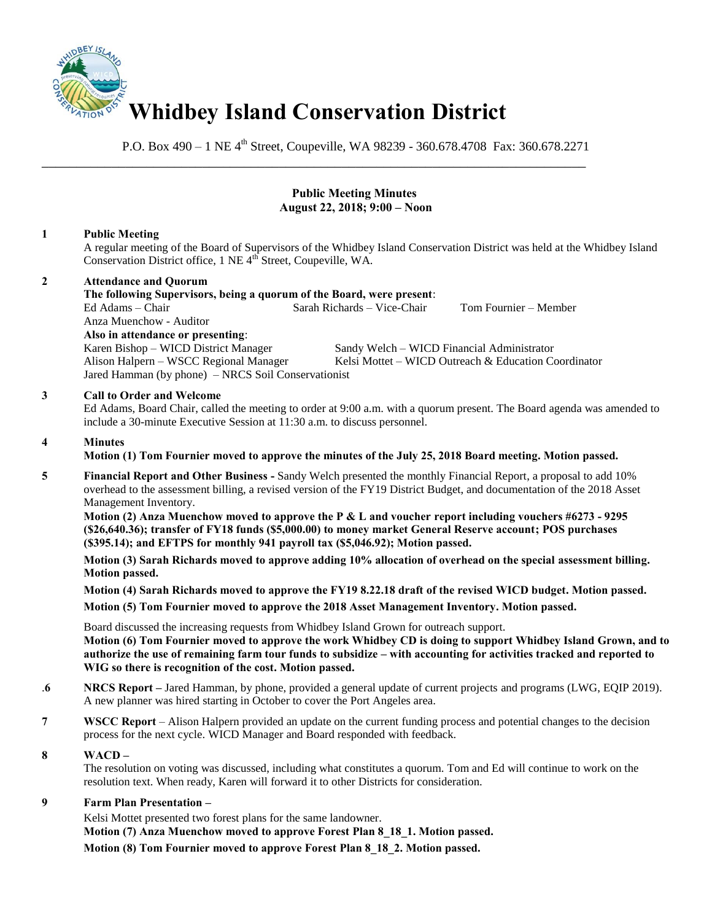

\_\_\_\_\_\_\_\_\_\_\_\_\_\_\_\_\_\_\_\_\_\_\_\_\_\_\_\_\_\_\_\_\_\_\_\_\_\_\_\_\_\_\_\_\_\_\_\_\_\_\_\_\_\_\_\_\_\_\_\_\_\_\_\_\_\_\_\_\_\_\_\_\_\_\_\_\_\_

P.O. Box  $490 - 1$  NE  $4^{th}$  Street, Coupeville, WA 98239 - 360.678.4708 Fax: 360.678.2271

# **Public Meeting Minutes August 22, 2018; 9:00 – Noon**

# **1 Public Meeting**

A regular meeting of the Board of Supervisors of the Whidbey Island Conservation District was held at the Whidbey Island Conservation District office, 1 NE 4<sup>th</sup> Street, Coupeville, WA.

# **2 Attendance and Quorum**

**The following Supervisors, being a quorum of the Board, were present**:  $Sarah Richards - Vice-Chair$  Tom Fournier – Member Anza Muenchow - Auditor **Also in attendance or presenting**: Karen Bishop – WICD District Manager Sandy Welch – WICD Financial Administrator Alison Halpern – WSCC Regional Manager Kelsi Mottet – WICD Outreach & Education Coordinator Jared Hamman (by phone) – NRCS Soil Conservationist **3 Call to Order and Welcome** Ed Adams, Board Chair, called the meeting to order at 9:00 a.m. with a quorum present. The Board agenda was amended to include a 30-minute Executive Session at 11:30 a.m. to discuss personnel.

#### **4 Minutes**

**Motion (1) Tom Fournier moved to approve the minutes of the July 25, 2018 Board meeting. Motion passed.** 

**5 Financial Report and Other Business -** Sandy Welch presented the monthly Financial Report, a proposal to add 10% overhead to the assessment billing, a revised version of the FY19 District Budget, and documentation of the 2018 Asset Management Inventory.

 **Motion (2) Anza Muenchow moved to approve the P & L and voucher report including vouchers #6273 - 9295 (\$26,640.36); transfer of FY18 funds (\$5,000.00) to money market General Reserve account; POS purchases (\$395.14); and EFTPS for monthly 941 payroll tax (\$5,046.92); Motion passed.** 

**Motion (3) Sarah Richards moved to approve adding 10% allocation of overhead on the special assessment billing. Motion passed.** 

**Motion (4) Sarah Richards moved to approve the FY19 8.22.18 draft of the revised WICD budget. Motion passed.** 

**Motion (5) Tom Fournier moved to approve the 2018 Asset Management Inventory. Motion passed.** 

Board discussed the increasing requests from Whidbey Island Grown for outreach support. **Motion (6) Tom Fournier moved to approve the work Whidbey CD is doing to support Whidbey Island Grown, and to authorize the use of remaining farm tour funds to subsidize – with accounting for activities tracked and reported to WIG so there is recognition of the cost. Motion passed.** 

- .**6 NRCS Report –** Jared Hamman, by phone, provided a general update of current projects and programs (LWG, EQIP 2019). A new planner was hired starting in October to cover the Port Angeles area.
- **7 WSCC Report** Alison Halpern provided an update on the current funding process and potential changes to the decision process for the next cycle. WICD Manager and Board responded with feedback.

# **8 WACD –**

The resolution on voting was discussed, including what constitutes a quorum. Tom and Ed will continue to work on the resolution text. When ready, Karen will forward it to other Districts for consideration.

# **9 Farm Plan Presentation –**

Kelsi Mottet presented two forest plans for the same landowner.

**Motion (7) Anza Muenchow moved to approve Forest Plan 8\_18\_1. Motion passed.** 

**Motion (8) Tom Fournier moved to approve Forest Plan 8\_18\_2. Motion passed.**